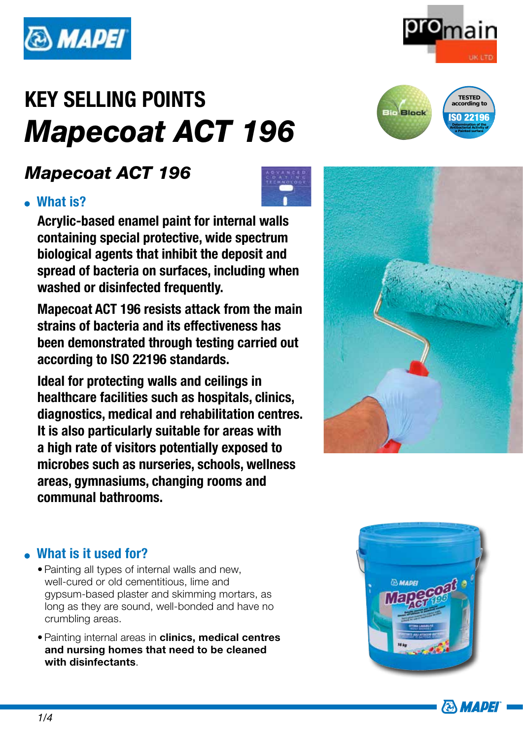

# *Mapecoat ACT 196*

### What is?

Acrylic-based enamel paint for internal walls containing special protective, wide spectrum biological agents that inhibit the deposit and spread of bacteria on surfaces, including when washed or disinfected frequently.

Mapecoat ACT 196 resists attack from the main strains of bacteria and its effectiveness has been demonstrated through testing carried out according to ISO 22196 standards.

Ideal for protecting walls and ceilings in healthcare facilities such as hospitals, clinics, diagnostics, medical and rehabilitation centres. It is also particularly suitable for areas with a high rate of visitors potentially exposed to microbes such as nurseries, schools, wellness areas, gymnasiums, changing rooms and communal bathrooms.







ISO 22196 **Determination of the Antibacterial Activity of a Painted surface**



#### . What is it used for?

- Painting all types of internal walls and new, well-cured or old cementitious, lime and gypsum-based plaster and skimming mortars, as long as they are sound, well-bonded and have no crumbling areas.
- Painting internal areas in clinics, medical centres and nursing homes that need to be cleaned with disinfectants.

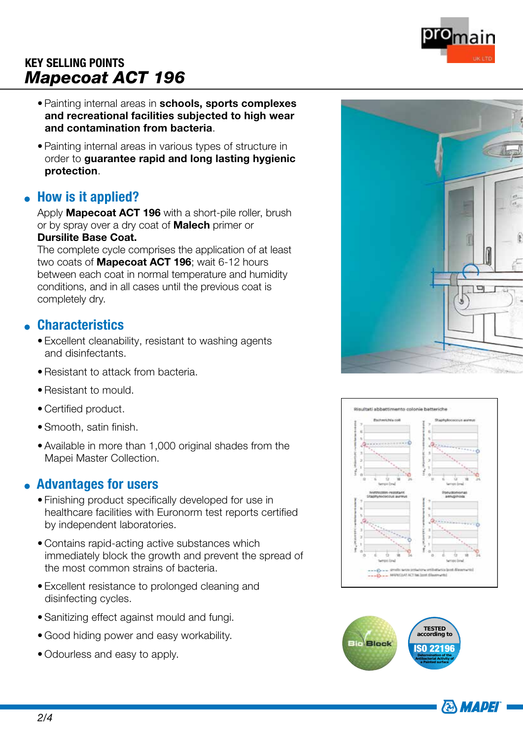

- Painting internal areas in schools, sports complexes and recreational facilities subjected to high wear and contamination from bacteria.
- Painting internal areas in various types of structure in order to guarantee rapid and long lasting hygienic protection.

#### • How is it applied?

Apply **Mapecoat ACT 196** with a short-pile roller, brush or by spray over a dry coat of **Malech** primer or

#### Dursilite Base Coat.

The complete cycle comprises the application of at least two coats of **Mapecoat ACT 196**; wait 6-12 hours between each coat in normal temperature and humidity conditions, and in all cases until the previous coat is completely dry.

#### **Characteristics**

- Excellent cleanability, resistant to washing agents and disinfectants.
- Resistant to attack from bacteria.
- Resistant to mould.
- Certified product.
- Smooth, satin finish.
- Available in more than 1,000 original shades from the Mapei Master Collection.

#### Advantages for users

- Finishing product specifically developed for use in healthcare facilities with Euronorm test reports certified by independent laboratories.
- Contains rapid-acting active substances which immediately block the growth and prevent the spread of the most common strains of bacteria.
- Excellent resistance to prolonged cleaning and disinfecting cycles.
- Sanitizing effect against mould and fungi.
- Good hiding power and easy workability.
- Odourless and easy to apply.







**ANMADEI**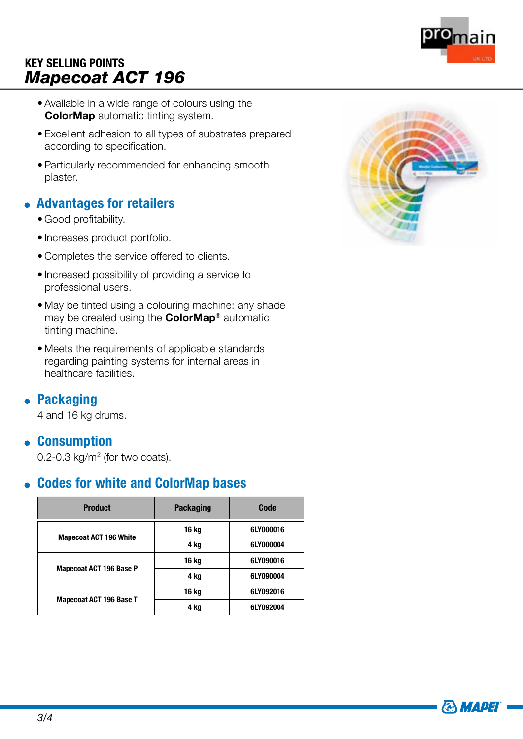- Available in a wide range of colours using the **ColorMap** automatic tinting system.
- Excellent adhesion to all types of substrates prepared according to specification.
- Particularly recommended for enhancing smooth plaster.

#### Advantages for retailers

- Good profitability.
- Increases product portfolio.
- Completes the service offered to clients.
- Increased possibility of providing a service to professional users.
- May be tinted using a colouring machine: any shade may be created using the **ColorMap®** automatic tinting machine.
- Meets the requirements of applicable standards regarding painting systems for internal areas in healthcare facilities.

#### **• Packaging**

4 and 16 kg drums.

#### Consumption

0.2-0.3 kg/m² (for two coats).

#### Codes for white and ColorMap bases

| <b>Product</b>                 | <b>Packaging</b> | Code      |
|--------------------------------|------------------|-----------|
| <b>Mapecoat ACT 196 White</b>  | 16 kg            | 6LY000016 |
|                                | 4 kg             | 6LY000004 |
| <b>Mapecoat ACT 196 Base P</b> | 16 kg            | 6LY090016 |
|                                | 4 kg             | 6LY090004 |
| <b>Mapecoat ACT 196 Base T</b> | 16 kg            | 6LY092016 |
|                                | 4 kg             | 6LY092004 |